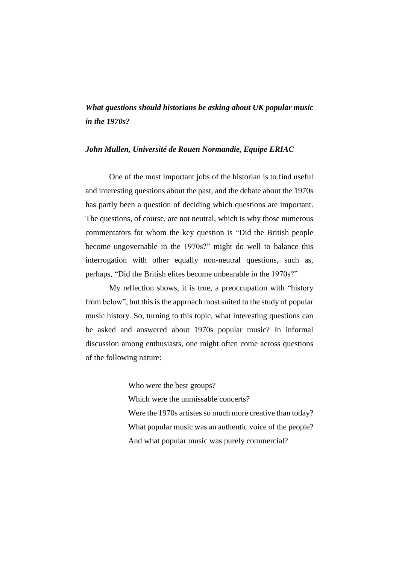# *What questions should historians be asking about UK popular music in the 1970s?*

### *John Mullen, Université de Rouen Normandie, Equipe ERIAC*

One of the most important jobs of the historian is to find useful and interesting questions about the past, and the debate about the 1970s has partly been a question of deciding which questions are important. The questions, of course, are not neutral, which is why those numerous commentators for whom the key question is "Did the British people become ungovernable in the 1970s?" might do well to balance this interrogation with other equally non-neutral questions, such as, perhaps, "Did the British elites become unbearable in the 1970s?"

My reflection shows, it is true, a preoccupation with "history from below", but this is the approach most suited to the study of popular music history. So, turning to this topic, what interesting questions can be asked and answered about 1970s popular music? In informal discussion among enthusiasts, one might often come across questions of the following nature:

Who were the best groups?

Which were the unmissable concerts?

Were the 1970s artistes so much more creative than today? What popular music was an authentic voice of the people? And what popular music was purely commercial?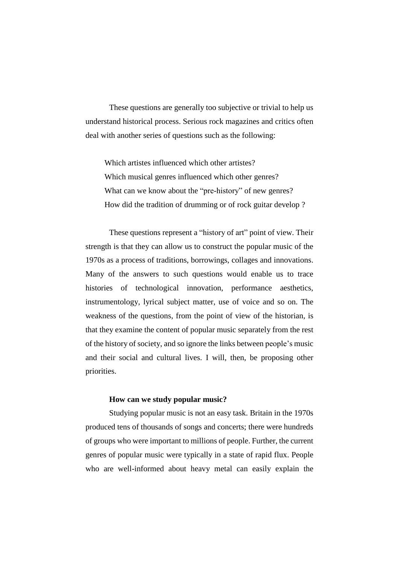These questions are generally too subjective or trivial to help us understand historical process. Serious rock magazines and critics often deal with another series of questions such as the following:

Which artistes influenced which other artistes? Which musical genres influenced which other genres? What can we know about the "pre-history" of new genres? How did the tradition of drumming or of rock guitar develop ?

These questions represent a "history of art" point of view. Their strength is that they can allow us to construct the popular music of the 1970s as a process of traditions, borrowings, collages and innovations. Many of the answers to such questions would enable us to trace histories of technological innovation, performance aesthetics, instrumentology, lyrical subject matter, use of voice and so on. The weakness of the questions, from the point of view of the historian, is that they examine the content of popular music separately from the rest of the history of society, and so ignore the links between people's music and their social and cultural lives. I will, then, be proposing other priorities.

#### **How can we study popular music?**

Studying popular music is not an easy task. Britain in the 1970s produced tens of thousands of songs and concerts; there were hundreds of groups who were important to millions of people. Further, the current genres of popular music were typically in a state of rapid flux. People who are well-informed about heavy metal can easily explain the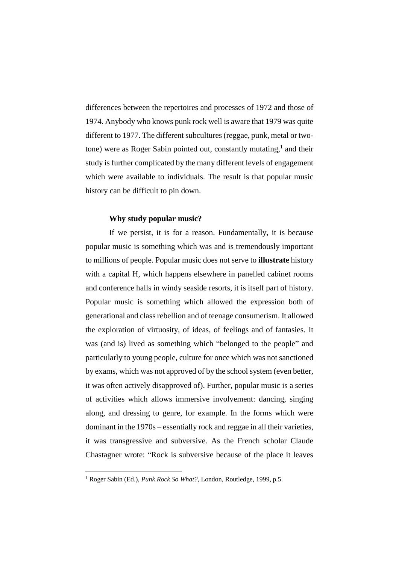differences between the repertoires and processes of 1972 and those of 1974. Anybody who knows punk rock well is aware that 1979 was quite different to 1977. The different subcultures (reggae, punk, metal or twotone) were as Roger Sabin pointed out, constantly mutating,<sup>1</sup> and their study is further complicated by the many different levels of engagement which were available to individuals. The result is that popular music history can be difficult to pin down.

# **Why study popular music?**

If we persist, it is for a reason. Fundamentally, it is because popular music is something which was and is tremendously important to millions of people. Popular music does not serve to **illustrate** history with a capital H, which happens elsewhere in panelled cabinet rooms and conference halls in windy seaside resorts, it is itself part of history. Popular music is something which allowed the expression both of generational and class rebellion and of teenage consumerism. It allowed the exploration of virtuosity, of ideas, of feelings and of fantasies. It was (and is) lived as something which "belonged to the people" and particularly to young people, culture for once which was not sanctioned by exams, which was not approved of by the school system (even better, it was often actively disapproved of). Further, popular music is a series of activities which allows immersive involvement: dancing, singing along, and dressing to genre, for example. In the forms which were dominant in the 1970s – essentially rock and reggae in all their varieties, it was transgressive and subversive. As the French scholar Claude Chastagner wrote: "Rock is subversive because of the place it leaves

<sup>1</sup> Roger Sabin (Ed.), *Punk Rock So What?,* London, Routledge, 1999, p.5.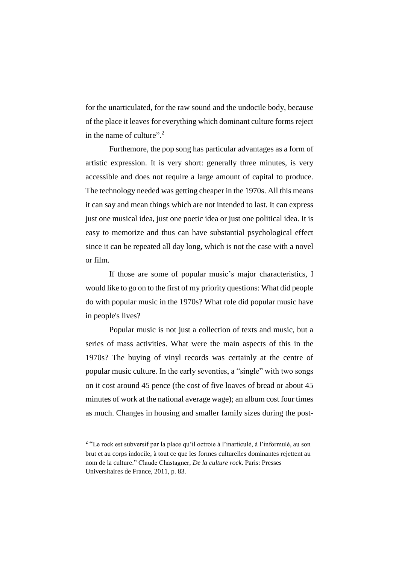for the unarticulated, for the raw sound and the undocile body, because of the place it leaves for everything which dominant culture formsreject in the name of culture".<sup>2</sup>

Furthemore, the pop song has particular advantages as a form of artistic expression. It is very short: generally three minutes, is very accessible and does not require a large amount of capital to produce. The technology needed was getting cheaper in the 1970s. All this means it can say and mean things which are not intended to last. It can express just one musical idea, just one poetic idea or just one political idea. It is easy to memorize and thus can have substantial psychological effect since it can be repeated all day long, which is not the case with a novel or film.

If those are some of popular music's major characteristics, I would like to go on to the first of my priority questions: What did people do with popular music in the 1970s? What role did popular music have in people's lives?

Popular music is not just a collection of texts and music, but a series of mass activities. What were the main aspects of this in the 1970s? The buying of vinyl records was certainly at the centre of popular music culture. In the early seventies, a "single" with two songs on it cost around 45 pence (the cost of five loaves of bread or about 45 minutes of work at the national average wage); an album cost four times as much. Changes in housing and smaller family sizes during the post-

<sup>&</sup>lt;sup>2</sup> "Le rock est subversif par la place qu'il octroie à l'inarticulé, à l'informulé, au son brut et au corps indocile, à tout ce que les formes culturelles dominantes rejettent au nom de la culture." Claude Chastagner, *De la culture rock*. Paris: Presses Universitaires de France, 2011, p. 83.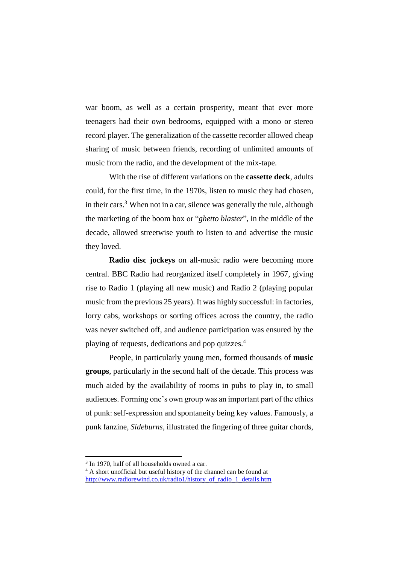war boom, as well as a certain prosperity, meant that ever more teenagers had their own bedrooms, equipped with a mono or stereo record player. The generalization of the cassette recorder allowed cheap sharing of music between friends, recording of unlimited amounts of music from the radio, and the development of the mix-tape.

With the rise of different variations on the **cassette deck**, adults could, for the first time, in the 1970s, listen to music they had chosen, in their cars.<sup>3</sup> When not in a car, silence was generally the rule, although the marketing of the boom box or "*ghetto blaster*", in the middle of the decade, allowed streetwise youth to listen to and advertise the music they loved.

**Radio disc jockeys** on all-music radio were becoming more central. BBC Radio had reorganized itself completely in 1967, giving rise to Radio 1 (playing all new music) and Radio 2 (playing popular music from the previous 25 years). It was highly successful: in factories, lorry cabs, workshops or sorting offices across the country, the radio was never switched off, and audience participation was ensured by the playing of requests, dedications and pop quizzes.<sup>4</sup>

People, in particularly young men, formed thousands of **music groups**, particularly in the second half of the decade. This process was much aided by the availability of rooms in pubs to play in, to small audiences. Forming one's own group was an important part of the ethics of punk: self-expression and spontaneity being key values. Famously, a punk fanzine, *Sideburns,* illustrated the fingering of three guitar chords,

<sup>&</sup>lt;sup>3</sup> In 1970, half of all households owned a car.

<sup>4</sup> A short unofficial but useful history of the channel can be found at

[http://www.radiorewind.co.uk/radio1/history\\_of\\_radio\\_1\\_details.htm](http://www.radiorewind.co.uk/radio1/history_of_radio_1_details.htm)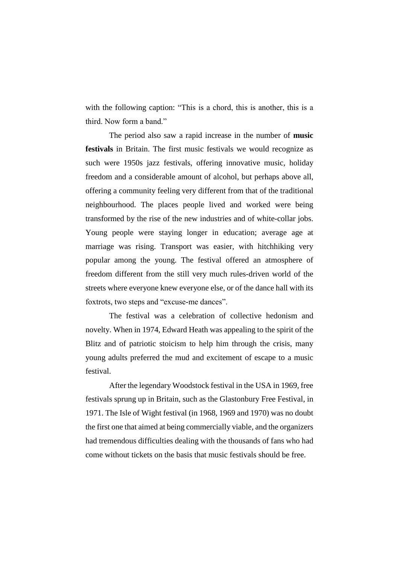with the following caption: "This is a chord, this is another, this is a third. Now form a band."

The period also saw a rapid increase in the number of **music festivals** in Britain. The first music festivals we would recognize as such were 1950s jazz festivals, offering innovative music, holiday freedom and a considerable amount of alcohol, but perhaps above all, offering a community feeling very different from that of the traditional neighbourhood. The places people lived and worked were being transformed by the rise of the new industries and of white-collar jobs. Young people were staying longer in education; average age at marriage was rising. Transport was easier, with hitchhiking very popular among the young. The festival offered an atmosphere of freedom different from the still very much rules-driven world of the streets where everyone knew everyone else, or of the dance hall with its foxtrots, two steps and "excuse-me dances".

The festival was a celebration of collective hedonism and novelty. When in 1974, Edward Heath was appealing to the spirit of the Blitz and of patriotic stoicism to help him through the crisis, many young adults preferred the mud and excitement of escape to a music festival.

After the legendary Woodstock festival in the USA in 1969, free festivals sprung up in Britain, such as the Glastonbury Free Festival, in 1971. The Isle of Wight festival (in 1968, 1969 and 1970) was no doubt the first one that aimed at being commercially viable, and the organizers had tremendous difficulties dealing with the thousands of fans who had come without tickets on the basis that music festivals should be free.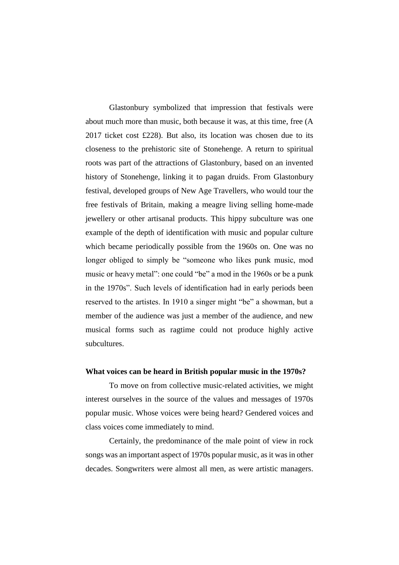Glastonbury symbolized that impression that festivals were about much more than music, both because it was, at this time, free (A 2017 ticket cost £228). But also, its location was chosen due to its closeness to the prehistoric site of Stonehenge. A return to spiritual roots was part of the attractions of Glastonbury, based on an invented history of Stonehenge, linking it to pagan druids. From Glastonbury festival, developed groups of New Age Travellers, who would tour the free festivals of Britain, making a meagre living selling home-made jewellery or other artisanal products. This hippy subculture was one example of the depth of identification with music and popular culture which became periodically possible from the 1960s on. One was no longer obliged to simply be "someone who likes punk music, mod music or heavy metal": one could "be" a mod in the 1960s or be a punk in the 1970s". Such levels of identification had in early periods been reserved to the artistes. In 1910 a singer might "be" a showman, but a member of the audience was just a member of the audience, and new musical forms such as ragtime could not produce highly active subcultures.

# **What voices can be heard in British popular music in the 1970s?**

To move on from collective music-related activities, we might interest ourselves in the source of the values and messages of 1970s popular music. Whose voices were being heard? Gendered voices and class voices come immediately to mind.

Certainly, the predominance of the male point of view in rock songs was an important aspect of 1970s popular music, as it was in other decades. Songwriters were almost all men, as were artistic managers.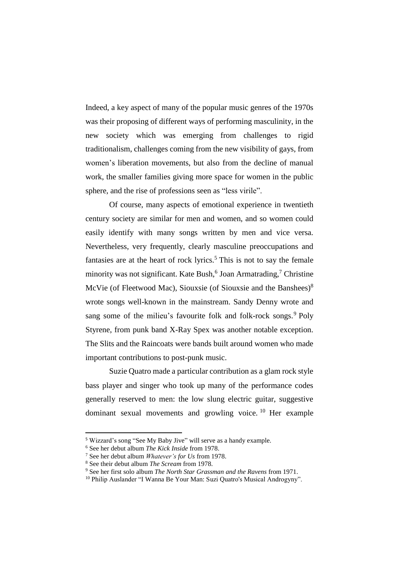Indeed, a key aspect of many of the popular music genres of the 1970s was their proposing of different ways of performing masculinity, in the new society which was emerging from challenges to rigid traditionalism, challenges coming from the new visibility of gays, from women's liberation movements, but also from the decline of manual work, the smaller families giving more space for women in the public sphere, and the rise of professions seen as "less virile".

Of course, many aspects of emotional experience in twentieth century society are similar for men and women, and so women could easily identify with many songs written by men and vice versa. Nevertheless, very frequently, clearly masculine preoccupations and fantasies are at the heart of rock lyrics.<sup>5</sup> This is not to say the female minority was not significant. Kate Bush,<sup>6</sup> Joan Armatrading,<sup>7</sup> Christine McVie (of Fleetwood Mac), Siouxsie (of Siouxsie and the Banshees) $<sup>8</sup>$ </sup> wrote songs well-known in the mainstream. Sandy Denny wrote and sang some of the milieu's favourite folk and folk-rock songs.<sup>9</sup> Poly Styrene, from punk band X-Ray Spex was another notable exception. The Slits and the Raincoats were bands built around women who made important contributions to post-punk music.

Suzie Quatro made a particular contribution as a glam rock style bass player and singer who took up many of the performance codes generally reserved to men: the low slung electric guitar, suggestive dominant sexual movements and growling voice.<sup>10</sup> Her example

 $\overline{\phantom{a}}$ 

<sup>5</sup> Wizzard's song "See My Baby Jive" will serve as a handy example.

<sup>6</sup> See her debut album *The Kick Inside* from 1978.

<sup>7</sup> See her debut album *Whatever's for Us* from 1978.

<sup>8</sup> See their debut album *The Scream* from 1978.

<sup>9</sup> See her first solo album *The North Star Grassman and the Ravens* from 1971.

<sup>&</sup>lt;sup>10</sup> Philip Auslander "I Wanna Be Your Man: Suzi Quatro's Musical Androgyny".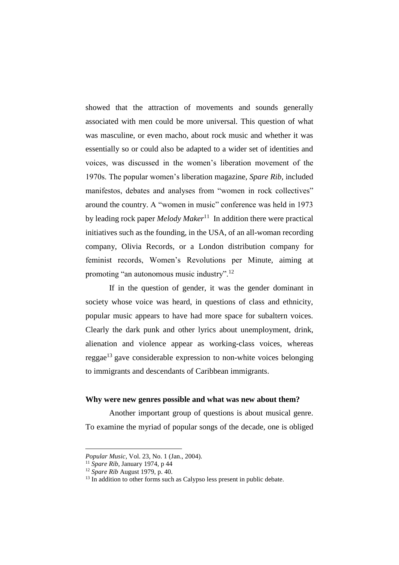showed that the attraction of movements and sounds generally associated with men could be more universal. This question of what was masculine, or even macho, about rock music and whether it was essentially so or could also be adapted to a wider set of identities and voices, was discussed in the women's liberation movement of the 1970s. The popular women's liberation magazine, *Spare Rib*, included manifestos, debates and analyses from "women in rock collectives" around the country. A "women in music" conference was held in 1973 by leading rock paper *Melody Maker*<sup>11</sup> In addition there were practical initiatives such as the founding, in the USA, of an all-woman recording company, Olivia Records, or a London distribution company for feminist records, Women's Revolutions per Minute, aiming at promoting "an autonomous music industry".<sup>12</sup>

If in the question of gender, it was the gender dominant in society whose voice was heard, in questions of class and ethnicity, popular music appears to have had more space for subaltern voices. Clearly the dark punk and other lyrics about unemployment, drink, alienation and violence appear as working-class voices, whereas reggae<sup>13</sup> gave considerable expression to non-white voices belonging to immigrants and descendants of Caribbean immigrants.

# **Why were new genres possible and what was new about them?**

Another important group of questions is about musical genre. To examine the myriad of popular songs of the decade, one is obliged

*Popular Music*, Vol. 23, No. 1 (Jan., 2004).

<sup>11</sup> *Spare Rib*, January 1974, p 44

<sup>12</sup> *Spare Rib* August 1979, p. 40.

 $13$  In addition to other forms such as Calypso less present in public debate.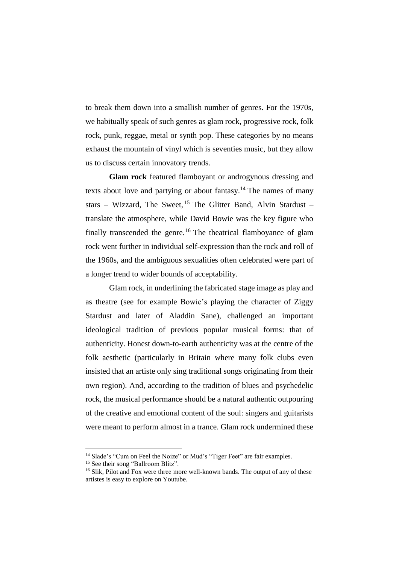to break them down into a smallish number of genres. For the 1970s, we habitually speak of such genres as glam rock, progressive rock, folk rock, punk, reggae, metal or synth pop. These categories by no means exhaust the mountain of vinyl which is seventies music, but they allow us to discuss certain innovatory trends.

**Glam rock** featured flamboyant or androgynous dressing and texts about love and partying or about fantasy.<sup>14</sup> The names of many stars – Wizzard, The Sweet, <sup>15</sup> The Glitter Band, Alvin Stardust – translate the atmosphere, while David Bowie was the key figure who finally transcended the genre.<sup>16</sup> The theatrical flamboyance of glam rock went further in individual self-expression than the rock and roll of the 1960s, and the ambiguous sexualities often celebrated were part of a longer trend to wider bounds of acceptability.

Glam rock, in underlining the fabricated stage image as play and as theatre (see for example Bowie's playing the character of Ziggy Stardust and later of Aladdin Sane), challenged an important ideological tradition of previous popular musical forms: that of authenticity. Honest down-to-earth authenticity was at the centre of the folk aesthetic (particularly in Britain where many folk clubs even insisted that an artiste only sing traditional songs originating from their own region). And, according to the tradition of blues and psychedelic rock, the musical performance should be a natural authentic outpouring of the creative and emotional content of the soul: singers and guitarists were meant to perform almost in a trance. Glam rock undermined these

<sup>&</sup>lt;sup>14</sup> Slade's "Cum on Feel the Noize" or Mud's "Tiger Feet" are fair examples.

<sup>&</sup>lt;sup>15</sup> See their song "Ballroom Blitz".

<sup>&</sup>lt;sup>16</sup> Slik, Pilot and Fox were three more well-known bands. The output of any of these artistes is easy to explore on Youtube.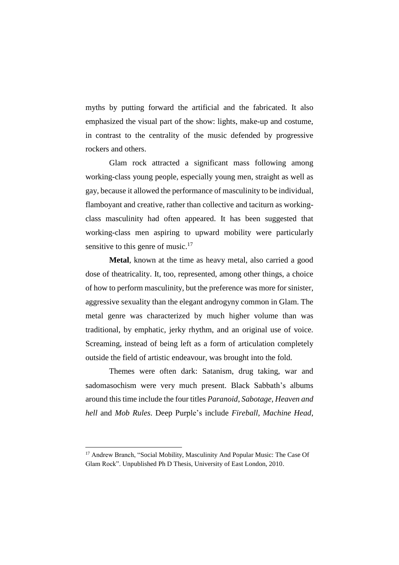myths by putting forward the artificial and the fabricated. It also emphasized the visual part of the show: lights, make-up and costume, in contrast to the centrality of the music defended by progressive rockers and others.

Glam rock attracted a significant mass following among working-class young people, especially young men, straight as well as gay, because it allowed the performance of masculinity to be individual, flamboyant and creative, rather than collective and taciturn as workingclass masculinity had often appeared. It has been suggested that working-class men aspiring to upward mobility were particularly sensitive to this genre of music.<sup>17</sup>

**Metal**, known at the time as heavy metal, also carried a good dose of theatricality. It, too, represented, among other things, a choice of how to perform masculinity, but the preference was more for sinister, aggressive sexuality than the elegant androgyny common in Glam. The metal genre was characterized by much higher volume than was traditional, by emphatic, jerky rhythm, and an original use of voice. Screaming, instead of being left as a form of articulation completely outside the field of artistic endeavour, was brought into the fold.

Themes were often dark: Satanism, drug taking, war and sadomasochism were very much present. Black Sabbath's albums around this time include the four titles *Paranoid*, *Sabotage, Heaven and hell* and *Mob Rules*. Deep Purple's include *Fireball*, *Machine Head*,

 $\overline{\phantom{a}}$ 

<sup>&</sup>lt;sup>17</sup> Andrew Branch, "Social Mobility, Masculinity And Popular Music: The Case Of Glam Rock". Unpublished Ph D Thesis, University of East London, 2010.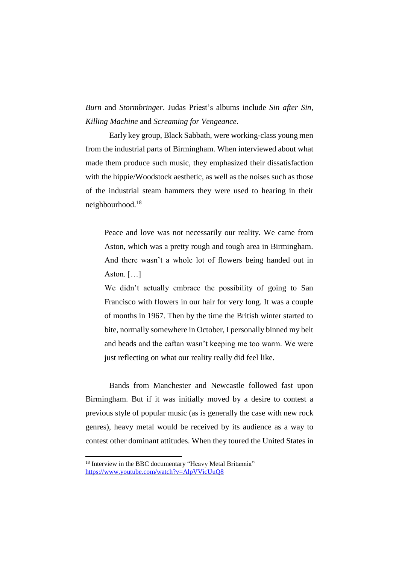*Burn* and *Stormbringer*. Judas Priest's albums include *Sin after Sin, Killing Machine* and *Screaming for Vengeance*.

Early key group, Black Sabbath, were working-class young men from the industrial parts of Birmingham. When interviewed about what made them produce such music, they emphasized their dissatisfaction with the hippie/Woodstock aesthetic, as well as the noises such as those of the industrial steam hammers they were used to hearing in their neighbourhood.<sup>18</sup>

Peace and love was not necessarily our reality. We came from Aston, which was a pretty rough and tough area in Birmingham. And there wasn't a whole lot of flowers being handed out in Aston. […]

We didn't actually embrace the possibility of going to San Francisco with flowers in our hair for very long. It was a couple of months in 1967. Then by the time the British winter started to bite, normally somewhere in October, I personally binned my belt and beads and the caftan wasn't keeping me too warm. We were just reflecting on what our reality really did feel like.

Bands from Manchester and Newcastle followed fast upon Birmingham. But if it was initially moved by a desire to contest a previous style of popular music (as is generally the case with new rock genres), heavy metal would be received by its audience as a way to contest other dominant attitudes. When they toured the United States in

<sup>&</sup>lt;sup>18</sup> Interview in the BBC documentary "Heavy Metal Britannia" <https://www.youtube.com/watch?v=AlpVVicUuQ8>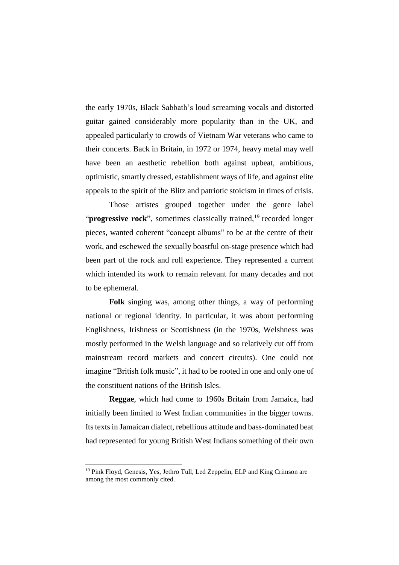the early 1970s, Black Sabbath's loud screaming vocals and distorted guitar gained considerably more popularity than in the UK, and appealed particularly to crowds of Vietnam War veterans who came to their concerts. Back in Britain, in 1972 or 1974, heavy metal may well have been an aesthetic rebellion both against upbeat, ambitious, optimistic, smartly dressed, establishment ways of life, and against elite appeals to the spirit of the Blitz and patriotic stoicism in times of crisis.

Those artistes grouped together under the genre label "**progressive rock**", sometimes classically trained,<sup>19</sup> recorded longer pieces, wanted coherent "concept albums" to be at the centre of their work, and eschewed the sexually boastful on-stage presence which had been part of the rock and roll experience. They represented a current which intended its work to remain relevant for many decades and not to be ephemeral.

**Folk** singing was, among other things, a way of performing national or regional identity. In particular, it was about performing Englishness, Irishness or Scottishness (in the 1970s, Welshness was mostly performed in the Welsh language and so relatively cut off from mainstream record markets and concert circuits). One could not imagine "British folk music", it had to be rooted in one and only one of the constituent nations of the British Isles.

**Reggae**, which had come to 1960s Britain from Jamaica, had initially been limited to West Indian communities in the bigger towns. Its texts in Jamaican dialect, rebellious attitude and bass-dominated beat had represented for young British West Indians something of their own

<sup>&</sup>lt;sup>19</sup> Pink Floyd, Genesis, Yes, Jethro Tull, Led Zeppelin, ELP and King Crimson are among the most commonly cited.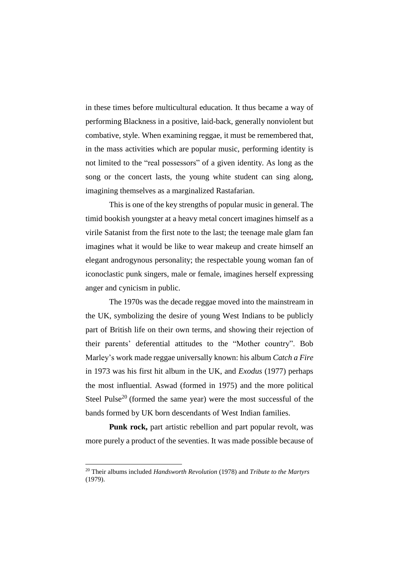in these times before multicultural education. It thus became a way of performing Blackness in a positive, laid-back, generally nonviolent but combative, style. When examining reggae, it must be remembered that, in the mass activities which are popular music, performing identity is not limited to the "real possessors" of a given identity. As long as the song or the concert lasts, the young white student can sing along, imagining themselves as a marginalized Rastafarian.

This is one of the key strengths of popular music in general. The timid bookish youngster at a heavy metal concert imagines himself as a virile Satanist from the first note to the last; the teenage male glam fan imagines what it would be like to wear makeup and create himself an elegant androgynous personality; the respectable young woman fan of iconoclastic punk singers, male or female, imagines herself expressing anger and cynicism in public.

The 1970s was the decade reggae moved into the mainstream in the UK, symbolizing the desire of young West Indians to be publicly part of British life on their own terms, and showing their rejection of their parents' deferential attitudes to the "Mother country". Bob Marley's work made reggae universally known: his album *Catch a Fire* in 1973 was his first hit album in the UK, and *Exodus* (1977) perhaps the most influential. Aswad (formed in 1975) and the more political Steel Pulse<sup>20</sup> (formed the same year) were the most successful of the bands formed by UK born descendants of West Indian families.

**Punk rock,** part artistic rebellion and part popular revolt, was more purely a product of the seventies. It was made possible because of

<sup>20</sup> Their albums included *Handsworth Revolution* (1978) and *Tribute to the Martyrs* (1979).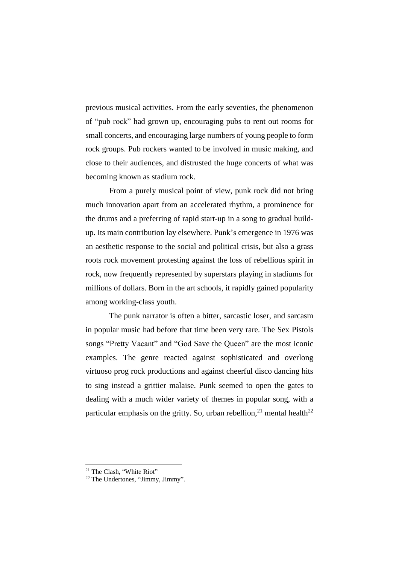previous musical activities. From the early seventies, the phenomenon of "pub rock" had grown up, encouraging pubs to rent out rooms for small concerts, and encouraging large numbers of young people to form rock groups. Pub rockers wanted to be involved in music making, and close to their audiences, and distrusted the huge concerts of what was becoming known as stadium rock.

From a purely musical point of view, punk rock did not bring much innovation apart from an accelerated rhythm, a prominence for the drums and a preferring of rapid start-up in a song to gradual buildup. Its main contribution lay elsewhere. Punk's emergence in 1976 was an aesthetic response to the social and political crisis, but also a grass roots rock movement protesting against the loss of rebellious spirit in rock, now frequently represented by superstars playing in stadiums for millions of dollars. Born in the art schools, it rapidly gained popularity among working-class youth.

The punk narrator is often a bitter, sarcastic loser, and sarcasm in popular music had before that time been very rare. The Sex Pistols songs "Pretty Vacant" and "God Save the Queen" are the most iconic examples. The genre reacted against sophisticated and overlong virtuoso prog rock productions and against cheerful disco dancing hits to sing instead a grittier malaise. Punk seemed to open the gates to dealing with a much wider variety of themes in popular song, with a particular emphasis on the gritty. So, urban rebellion,<sup>21</sup> mental health<sup>22</sup>

<sup>&</sup>lt;sup>21</sup> The Clash, "White Riot"

<sup>22</sup> The Undertones, "Jimmy, Jimmy".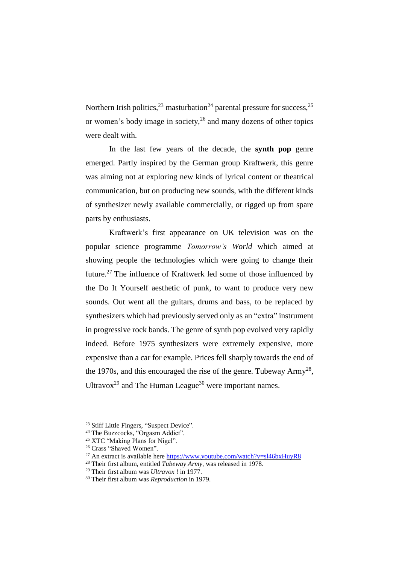Northern Irish politics,  $^{23}$  masturbation<sup>24</sup> parental pressure for success,  $^{25}$ or women's body image in society,<sup>26</sup> and many dozens of other topics were dealt with.

In the last few years of the decade, the **synth pop** genre emerged. Partly inspired by the German group Kraftwerk, this genre was aiming not at exploring new kinds of lyrical content or theatrical communication, but on producing new sounds, with the different kinds of synthesizer newly available commercially, or rigged up from spare parts by enthusiasts.

Kraftwerk's first appearance on UK television was on the popular science programme *Tomorrow's World* which aimed at showing people the technologies which were going to change their future.<sup>27</sup> The influence of Kraftwerk led some of those influenced by the Do It Yourself aesthetic of punk, to want to produce very new sounds. Out went all the guitars, drums and bass, to be replaced by synthesizers which had previously served only as an "extra" instrument in progressive rock bands. The genre of synth pop evolved very rapidly indeed. Before 1975 synthesizers were extremely expensive, more expensive than a car for example. Prices fell sharply towards the end of the 1970s, and this encouraged the rise of the genre. Tubeway  $Army^{28}$ , Ultravox<sup>29</sup> and The Human League<sup>30</sup> were important names.

<sup>&</sup>lt;sup>23</sup> Stiff Little Fingers, "Suspect Device".

<sup>&</sup>lt;sup>24</sup> The Buzzcocks, "Orgasm Addict".

<sup>&</sup>lt;sup>25</sup> XTC "Making Plans for Nigel".

<sup>&</sup>lt;sup>26</sup> Crass "Shaved Women".

<sup>&</sup>lt;sup>27</sup> An extract is available here <https://www.youtube.com/watch?v=sl46bxHuyR8>

<sup>28</sup> Their first album, entitled *Tubeway Army*, was released in 1978.

<sup>29</sup> Their first album was *Ultravox* ! in 1977.

<sup>30</sup> Their first album was *Reproduction* in 1979.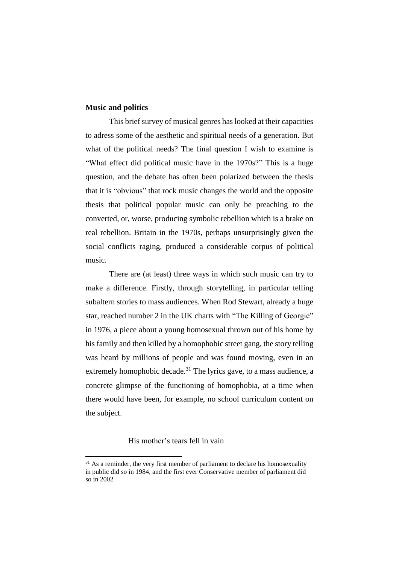### **Music and politics**

This brief survey of musical genres has looked at their capacities to adress some of the aesthetic and spiritual needs of a generation. But what of the political needs? The final question I wish to examine is "What effect did political music have in the 1970s?" This is a huge question, and the debate has often been polarized between the thesis that it is "obvious" that rock music changes the world and the opposite thesis that political popular music can only be preaching to the converted, or, worse, producing symbolic rebellion which is a brake on real rebellion. Britain in the 1970s, perhaps unsurprisingly given the social conflicts raging, produced a considerable corpus of political music.

There are (at least) three ways in which such music can try to make a difference. Firstly, through storytelling, in particular telling subaltern stories to mass audiences. When Rod Stewart, already a huge star, reached number 2 in the UK charts with "The Killing of Georgie" in 1976, a piece about a young homosexual thrown out of his home by his family and then killed by a homophobic street gang, the story telling was heard by millions of people and was found moving, even in an extremely homophobic decade.<sup>31</sup> The lyrics gave, to a mass audience, a concrete glimpse of the functioning of homophobia, at a time when there would have been, for example, no school curriculum content on the subject.

# His mother's tears fell in vain

 $31$  As a reminder, the very first member of parliament to declare his homosexuality in public did so in 1984, and the first ever Conservative member of parliament did so in 2002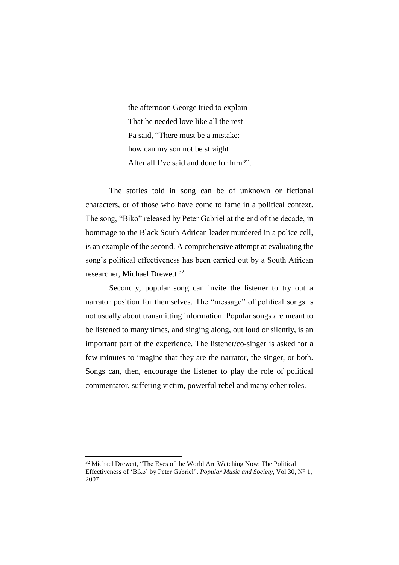the afternoon George tried to explain That he needed love like all the rest Pa said, "There must be a mistake: how can my son not be straight After all I've said and done for him?".

The stories told in song can be of unknown or fictional characters, or of those who have come to fame in a political context. The song, "Biko" released by Peter Gabriel at the end of the decade, in hommage to the Black South Adrican leader murdered in a police cell, is an example of the second. A comprehensive attempt at evaluating the song's political effectiveness has been carried out by a South African researcher, Michael Drewett. 32

Secondly, popular song can invite the listener to try out a narrator position for themselves. The "message" of political songs is not usually about transmitting information. Popular songs are meant to be listened to many times, and singing along, out loud or silently, is an important part of the experience. The listener/co-singer is asked for a few minutes to imagine that they are the narrator, the singer, or both. Songs can, then, encourage the listener to play the role of political commentator, suffering victim, powerful rebel and many other roles.

<sup>&</sup>lt;sup>32</sup> Michael Drewett, "The Eyes of the World Are Watching Now: The Political Effectiveness of 'Biko' by Peter Gabriel". *Popular Music and Society*, Vol 30, N° 1, 2007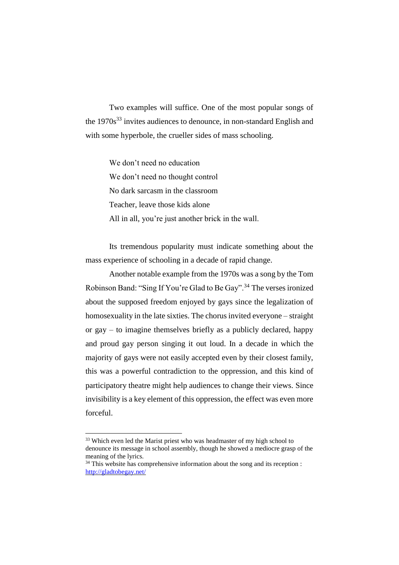Two examples will suffice. One of the most popular songs of the  $1970s<sup>33</sup>$  invites audiences to denounce, in non-standard English and with some hyperbole, the crueller sides of mass schooling.

> We don't need no education We don't need no thought control No dark sarcasm in the classroom Teacher, leave those kids alone All in all, you're just another brick in the wall.

Its tremendous popularity must indicate something about the mass experience of schooling in a decade of rapid change.

Another notable example from the 1970s was a song by the Tom Robinson Band: "Sing If You're Glad to Be Gay".<sup>34</sup> The verses ironized about the supposed freedom enjoyed by gays since the legalization of homosexuality in the late sixties. The chorus invited everyone – straight or gay – to imagine themselves briefly as a publicly declared, happy and proud gay person singing it out loud. In a decade in which the majority of gays were not easily accepted even by their closest family, this was a powerful contradiction to the oppression, and this kind of participatory theatre might help audiences to change their views. Since invisibility is a key element of this oppression, the effect was even more forceful.

 $\overline{\phantom{a}}$ 

<sup>&</sup>lt;sup>33</sup> Which even led the Marist priest who was headmaster of my high school to denounce its message in school assembly, though he showed a mediocre grasp of the meaning of the lyrics.

<sup>&</sup>lt;sup>34</sup> This website has comprehensive information about the song and its reception : <http://gladtobegay.net/>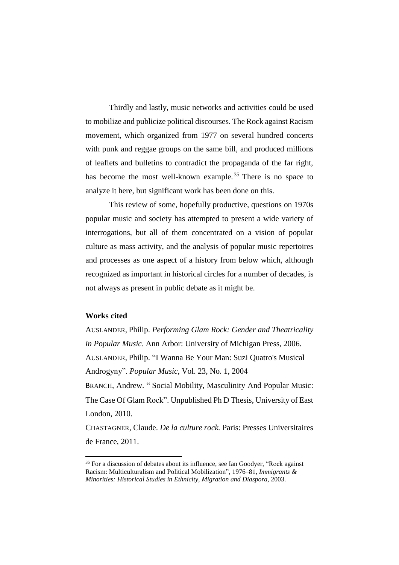Thirdly and lastly, music networks and activities could be used to mobilize and publicize political discourses. The Rock against Racism movement, which organized from 1977 on several hundred concerts with punk and reggae groups on the same bill, and produced millions of leaflets and bulletins to contradict the propaganda of the far right, has become the most well-known example.<sup>35</sup> There is no space to analyze it here, but significant work has been done on this.

This review of some, hopefully productive, questions on 1970s popular music and society has attempted to present a wide variety of interrogations, but all of them concentrated on a vision of popular culture as mass activity, and the analysis of popular music repertoires and processes as one aspect of a history from below which, although recognized as important in historical circles for a number of decades, is not always as present in public debate as it might be.

### **Works cited**

**.** 

AUSLANDER, Philip. *Performing Glam Rock: Gender and Theatricality in Popular Music*. Ann Arbor: University of Michigan Press, 2006. AUSLANDER, Philip. "I Wanna Be Your Man: Suzi Quatro's Musical Androgyny". *Popular Music*, Vol. 23, No. 1, 2004 BRANCH, Andrew. " Social Mobility, Masculinity And Popular Music: The Case Of Glam Rock". Unpublished Ph D Thesis, University of East London, 2010.

CHASTAGNER, Claude. *De la culture rock.* Paris: Presses Universitaires de France, 2011.

<sup>&</sup>lt;sup>35</sup> For a discussion of debates about its influence, see Ian Goodyer, "Rock against Racism: Multiculturalism and Political Mobilization", 1976–81, *Immigrants & Minorities: Historical Studies in Ethnicity, Migration and Diaspora,* 2003.